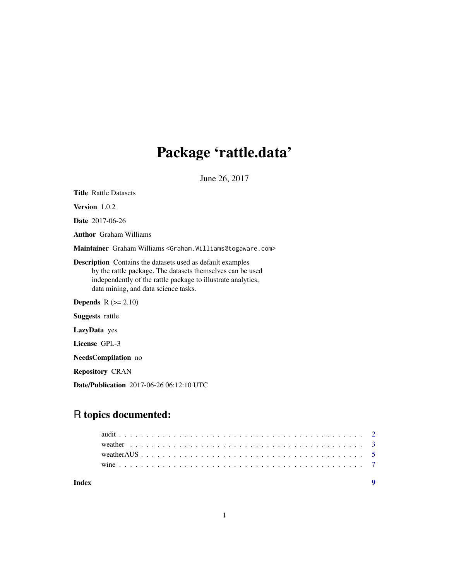## Package 'rattle.data'

June 26, 2017

<span id="page-0-0"></span>

| <b>Title Rattle Datasets</b>                                                                                                                                                                                                            |
|-----------------------------------------------------------------------------------------------------------------------------------------------------------------------------------------------------------------------------------------|
| <b>Version</b> $1.0.2$                                                                                                                                                                                                                  |
| <b>Date</b> 2017-06-26                                                                                                                                                                                                                  |
| <b>Author</b> Graham Williams                                                                                                                                                                                                           |
| Maintainer Graham Williams <graham. williams@togaware.com=""></graham.>                                                                                                                                                                 |
| <b>Description</b> Contains the datasets used as default examples<br>by the rattle package. The datasets themselves can be used<br>independently of the rattle package to illustrate analytics,<br>data mining, and data science tasks. |
| <b>Depends</b> $R (= 2.10)$                                                                                                                                                                                                             |
| <b>Suggests</b> rattle                                                                                                                                                                                                                  |
| LazyData yes                                                                                                                                                                                                                            |
| License GPL-3                                                                                                                                                                                                                           |
| <b>NeedsCompilation</b> no                                                                                                                                                                                                              |
| <b>Repository CRAN</b>                                                                                                                                                                                                                  |
| <b>Date/Publication</b> 2017-06-26 06:12:10 UTC                                                                                                                                                                                         |

### R topics documented:

| Index |  |  |  |  |  |  |  |  |  |  |  |  |  |  |  |  |  |  |  |
|-------|--|--|--|--|--|--|--|--|--|--|--|--|--|--|--|--|--|--|--|
|       |  |  |  |  |  |  |  |  |  |  |  |  |  |  |  |  |  |  |  |
|       |  |  |  |  |  |  |  |  |  |  |  |  |  |  |  |  |  |  |  |
|       |  |  |  |  |  |  |  |  |  |  |  |  |  |  |  |  |  |  |  |
|       |  |  |  |  |  |  |  |  |  |  |  |  |  |  |  |  |  |  |  |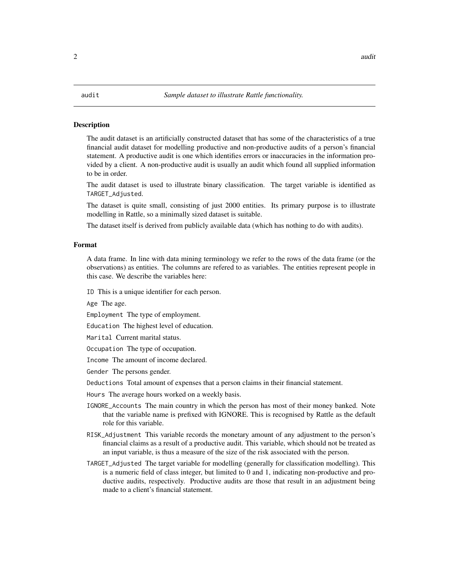#### <span id="page-1-1"></span><span id="page-1-0"></span>Description

The audit dataset is an artificially constructed dataset that has some of the characteristics of a true financial audit dataset for modelling productive and non-productive audits of a person's financial statement. A productive audit is one which identifies errors or inaccuracies in the information provided by a client. A non-productive audit is usually an audit which found all supplied information to be in order.

The audit dataset is used to illustrate binary classification. The target variable is identified as TARGET\_Adjusted.

The dataset is quite small, consisting of just 2000 entities. Its primary purpose is to illustrate modelling in Rattle, so a minimally sized dataset is suitable.

The dataset itself is derived from publicly available data (which has nothing to do with audits).

#### Format

A data frame. In line with data mining terminology we refer to the rows of the data frame (or the observations) as entities. The columns are refered to as variables. The entities represent people in this case. We describe the variables here:

ID This is a unique identifier for each person.

Age The age.

Employment The type of employment.

Education The highest level of education.

Marital Current marital status.

Occupation The type of occupation.

Income The amount of income declared.

Gender The persons gender.

Deductions Total amount of expenses that a person claims in their financial statement.

Hours The average hours worked on a weekly basis.

- IGNORE\_Accounts The main country in which the person has most of their money banked. Note that the variable name is prefixed with IGNORE. This is recognised by Rattle as the default role for this variable.
- RISK\_Adjustment This variable records the monetary amount of any adjustment to the person's financial claims as a result of a productive audit. This variable, which should not be treated as an input variable, is thus a measure of the size of the risk associated with the person.
- TARGET\_Adjusted The target variable for modelling (generally for classification modelling). This is a numeric field of class integer, but limited to 0 and 1, indicating non-productive and productive audits, respectively. Productive audits are those that result in an adjustment being made to a client's financial statement.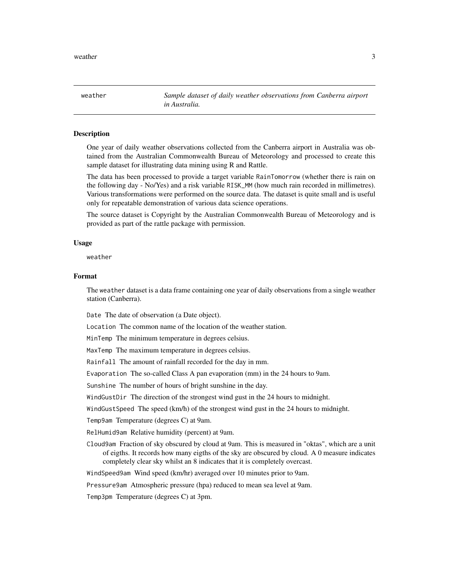<span id="page-2-1"></span><span id="page-2-0"></span>weather *Sample dataset of daily weather observations from Canberra airport in Australia.*

#### Description

One year of daily weather observations collected from the Canberra airport in Australia was obtained from the Australian Commonwealth Bureau of Meteorology and processed to create this sample dataset for illustrating data mining using R and Rattle.

The data has been processed to provide a target variable RainTomorrow (whether there is rain on the following day - No/Yes) and a risk variable RISK\_MM (how much rain recorded in millimetres). Various transformations were performed on the source data. The dataset is quite small and is useful only for repeatable demonstration of various data science operations.

The source dataset is Copyright by the Australian Commonwealth Bureau of Meteorology and is provided as part of the rattle package with permission.

#### Usage

weather

#### Format

The weather dataset is a data frame containing one year of daily observations from a single weather station (Canberra).

Date The date of observation (a Date object).

Location The common name of the location of the weather station.

MinTemp The minimum temperature in degrees celsius.

MaxTemp The maximum temperature in degrees celsius.

Rainfall The amount of rainfall recorded for the day in mm.

Evaporation The so-called Class A pan evaporation (mm) in the 24 hours to 9am.

Sunshine The number of hours of bright sunshine in the day.

WindGustDir The direction of the strongest wind gust in the 24 hours to midnight.

WindGustSpeed The speed (km/h) of the strongest wind gust in the 24 hours to midnight.

Temp9am Temperature (degrees C) at 9am.

RelHumid9am Relative humidity (percent) at 9am.

Cloud9am Fraction of sky obscured by cloud at 9am. This is measured in "oktas", which are a unit of eigths. It records how many eigths of the sky are obscured by cloud. A 0 measure indicates completely clear sky whilst an 8 indicates that it is completely overcast.

WindSpeed9am Wind speed (km/hr) averaged over 10 minutes prior to 9am.

Pressure9am Atmospheric pressure (hpa) reduced to mean sea level at 9am.

Temp3pm Temperature (degrees C) at 3pm.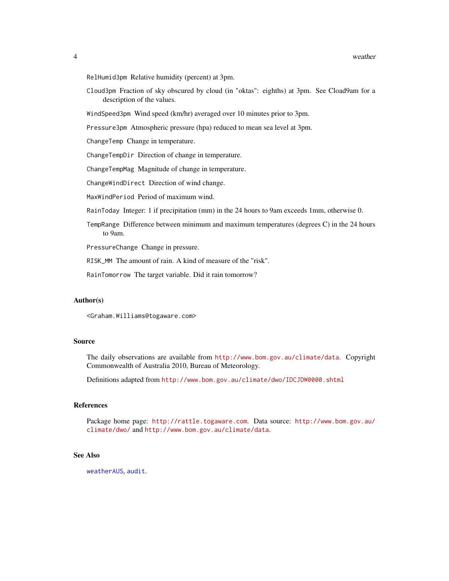#### <span id="page-3-0"></span>4 weather when the contract of the contract of the contract of the contract of the contract of the contract of the contract of the contract of the contract of the contract of the contract of the contract of the contract of

- RelHumid3pm Relative humidity (percent) at 3pm.
- Cloud3pm Fraction of sky obscured by cloud (in "oktas": eighths) at 3pm. See Cload9am for a description of the values.

WindSpeed3pm Wind speed (km/hr) averaged over 10 minutes prior to 3pm.

Pressure3pm Atmospheric pressure (hpa) reduced to mean sea level at 3pm.

ChangeTemp Change in temperature.

ChangeTempDir Direction of change in temperature.

ChangeTempMag Magnitude of change in temperature.

ChangeWindDirect Direction of wind change.

MaxWindPeriod Period of maximum wind.

RainToday Integer: 1 if precipitation (mm) in the 24 hours to 9am exceeds 1mm, otherwise 0.

TempRange Difference between minimum and maximum temperatures (degrees C) in the 24 hours to 9am.

PressureChange Change in pressure.

RISK\_MM The amount of rain. A kind of measure of the "risk".

RainTomorrow The target variable. Did it rain tomorrow?

#### Author(s)

<Graham.Williams@togaware.com>

#### Source

The daily observations are available from <http://www.bom.gov.au/climate/data>. Copyright Commonwealth of Australia 2010, Bureau of Meteorology.

Definitions adapted from <http://www.bom.gov.au/climate/dwo/IDCJDW0000.shtml>

### References

Package home page: <http://rattle.togaware.com>. Data source: [http://www.bom.gov.au/](http://www.bom.gov.au/climate/dwo/) [climate/dwo/](http://www.bom.gov.au/climate/dwo/) and <http://www.bom.gov.au/climate/data>.

#### See Also

[weatherAUS](#page-4-1), [audit](#page-1-1).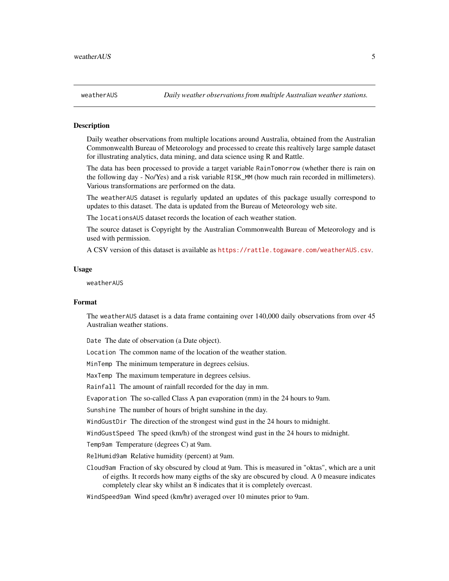#### Description

Daily weather observations from multiple locations around Australia, obtained from the Australian Commonwealth Bureau of Meteorology and processed to create this realtively large sample dataset for illustrating analytics, data mining, and data science using R and Rattle.

The data has been processed to provide a target variable RainTomorrow (whether there is rain on the following day - No/Yes) and a risk variable RISK\_MM (how much rain recorded in millimeters). Various transformations are performed on the data.

The weatherAUS dataset is regularly updated an updates of this package usually correspond to updates to this dataset. The data is updated from the Bureau of Meteorology web site.

The locationsAUS dataset records the location of each weather station.

The source dataset is Copyright by the Australian Commonwealth Bureau of Meteorology and is used with permission.

A CSV version of this dataset is available as <https://rattle.togaware.com/weatherAUS.csv>.

#### Usage

weatherAUS

#### Format

The weatherAUS dataset is a data frame containing over 140,000 daily observations from over 45 Australian weather stations.

Date The date of observation (a Date object).

Location The common name of the location of the weather station.

MinTemp The minimum temperature in degrees celsius.

MaxTemp The maximum temperature in degrees celsius.

Rainfall The amount of rainfall recorded for the day in mm.

Evaporation The so-called Class A pan evaporation (mm) in the 24 hours to 9am.

Sunshine The number of hours of bright sunshine in the day.

WindGustDir The direction of the strongest wind gust in the 24 hours to midnight.

WindGustSpeed The speed (km/h) of the strongest wind gust in the 24 hours to midnight.

Temp9am Temperature (degrees C) at 9am.

RelHumid9am Relative humidity (percent) at 9am.

Cloud9am Fraction of sky obscured by cloud at 9am. This is measured in "oktas", which are a unit of eigths. It records how many eigths of the sky are obscured by cloud. A 0 measure indicates completely clear sky whilst an 8 indicates that it is completely overcast.

#### WindSpeed9am Wind speed (km/hr) averaged over 10 minutes prior to 9am.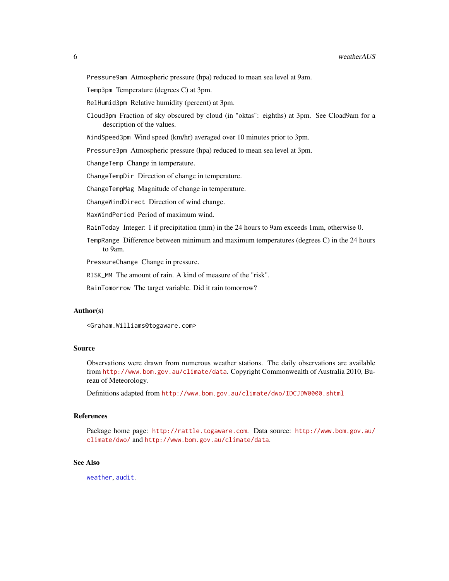<span id="page-5-0"></span>Pressure9am Atmospheric pressure (hpa) reduced to mean sea level at 9am.

Temp3pm Temperature (degrees C) at 3pm.

RelHumid3pm Relative humidity (percent) at 3pm.

Cloud3pm Fraction of sky obscured by cloud (in "oktas": eighths) at 3pm. See Cload9am for a description of the values.

WindSpeed3pm Wind speed (km/hr) averaged over 10 minutes prior to 3pm.

Pressure3pm Atmospheric pressure (hpa) reduced to mean sea level at 3pm.

ChangeTemp Change in temperature.

ChangeTempDir Direction of change in temperature.

ChangeTempMag Magnitude of change in temperature.

ChangeWindDirect Direction of wind change.

MaxWindPeriod Period of maximum wind.

RainToday Integer: 1 if precipitation (mm) in the 24 hours to 9am exceeds 1mm, otherwise 0.

TempRange Difference between minimum and maximum temperatures (degrees C) in the 24 hours to 9am.

PressureChange Change in pressure.

RISK\_MM The amount of rain. A kind of measure of the "risk".

RainTomorrow The target variable. Did it rain tomorrow?

#### Author(s)

<Graham.Williams@togaware.com>

#### Source

Observations were drawn from numerous weather stations. The daily observations are available from <http://www.bom.gov.au/climate/data>. Copyright Commonwealth of Australia 2010, Bureau of Meteorology.

Definitions adapted from <http://www.bom.gov.au/climate/dwo/IDCJDW0000.shtml>

#### References

Package home page: <http://rattle.togaware.com>. Data source: [http://www.bom.gov.au/](http://www.bom.gov.au/climate/dwo/) [climate/dwo/](http://www.bom.gov.au/climate/dwo/) and <http://www.bom.gov.au/climate/data>.

#### See Also

[weather](#page-2-1), [audit](#page-1-1).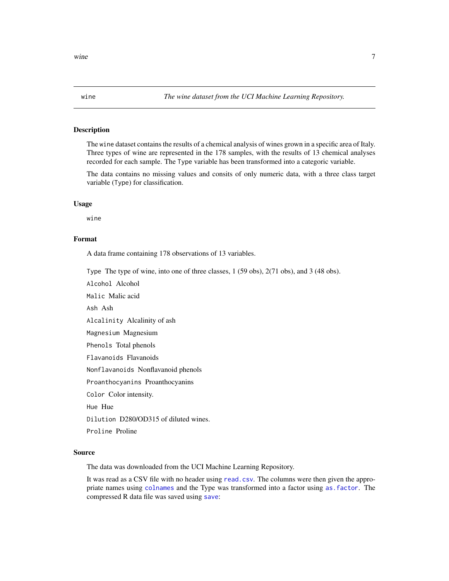<span id="page-6-0"></span>

#### Description

The wine dataset contains the results of a chemical analysis of wines grown in a specific area of Italy. Three types of wine are represented in the 178 samples, with the results of 13 chemical analyses recorded for each sample. The Type variable has been transformed into a categoric variable.

The data contains no missing values and consits of only numeric data, with a three class target variable (Type) for classification.

#### Usage

wine

### Format

A data frame containing 178 observations of 13 variables.

Type The type of wine, into one of three classes, 1 (59 obs), 2(71 obs), and 3 (48 obs).

Alcohol Alcohol

Malic Malic acid

Ash Ash

Alcalinity Alcalinity of ash

Magnesium Magnesium

Phenols Total phenols

Flavanoids Flavanoids

Nonflavanoids Nonflavanoid phenols

Proanthocyanins Proanthocyanins

Color Color intensity.

Hue Hue

Dilution D280/OD315 of diluted wines.

Proline Proline

#### Source

The data was downloaded from the UCI Machine Learning Repository.

It was read as a CSV file with no header using [read.csv](#page-0-0). The columns were then given the appropriate names using [colnames](#page-0-0) and the Type was transformed into a factor using [as.factor](#page-0-0). The compressed R data file was saved using [save](#page-0-0):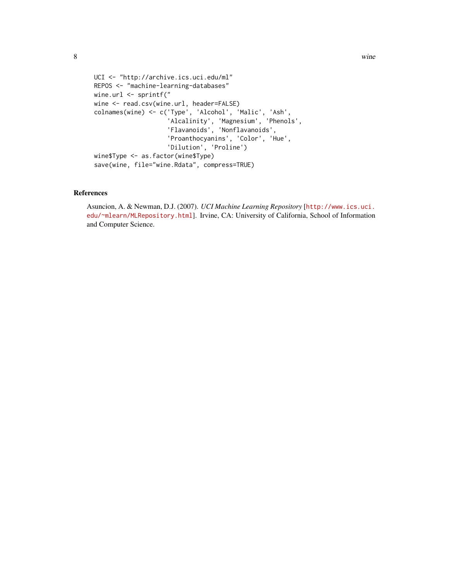```
UCI <- "http://archive.ics.uci.edu/ml"
REPOS <- "machine-learning-databases"
wine.url <- sprintf("
wine <- read.csv(wine.url, header=FALSE)
colnames(wine) <- c('Type', 'Alcohol', 'Malic', 'Ash',
                    'Alcalinity', 'Magnesium', 'Phenols',
                    'Flavanoids', 'Nonflavanoids',
                    'Proanthocyanins', 'Color', 'Hue',
                    'Dilution', 'Proline')
wine$Type <- as.factor(wine$Type)
save(wine, file="wine.Rdata", compress=TRUE)
```
#### References

Asuncion, A. & Newman, D.J. (2007). *UCI Machine Learning Repository* [[http://www.ics.uci.](http://www.ics.uci.edu/~mlearn/MLRepository.html) [edu/~mlearn/MLRepository.html](http://www.ics.uci.edu/~mlearn/MLRepository.html)]. Irvine, CA: University of California, School of Information and Computer Science.